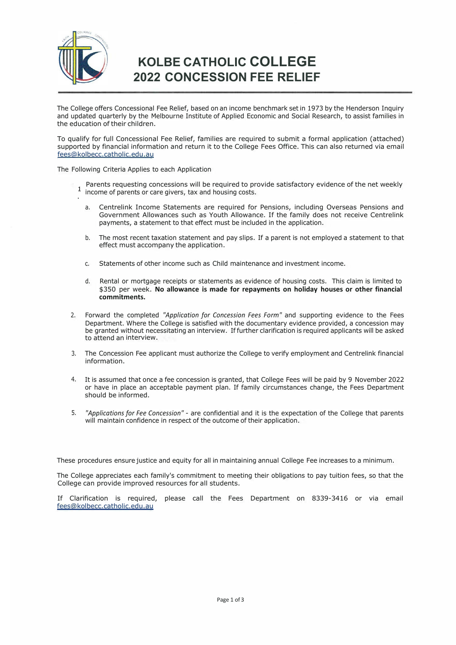

# **KOLBE CATHOLIC COLLEGE 2022 CONCESSION FEE RELIEF**

The College offers Concessional Fee Relief, based on an income benchmark set in 1973 by the Henderson Inquiry and updated quarterly by the Melbourne Institute of Applied Economic and Social Research, to assist families in the education of their children.

To qualify for full Concessional Fee Relief, families are required to submit a formal application (attached) supported by financial information and return it to the College Fees Office. This can also returned via email [fees@kolbecc.catholic.edu.au](mailto:fees@kolbecc.catholic.edu.au)

The Following Criteria Applies to each Application

- Parents requesting concessions will be required to provide satisfactory evidence of the net weekly  $\mathbf{1}$ income of parents or care givers, tax and housing costs.
	- a. Centrelink Income Statements are required for Pensions, including Overseas Pensions and Government Allowances such as Youth Allowance. If the family does not receive Centrelink payments, a statement to that effect must be included in the application.
	- b. The most recent taxation statement and pay slips. If a parent is not employed a statement to that effect must accompany the application.
	- c. Statements of other income such as Child maintenance and investment income.
	- d. Rental or mortgage receipts or statements as evidence of housing costs. This claim is limited to \$350 per week. **No allowance is made for repayments on holiday houses or other financial commitments.**
- 2. Forward the completed *"Application for Concession Fees Form"* and supporting evidence to the Fees Department. Where the College is satisfied with the documentary evidence provided, a concession may be granted without necessitating an interview. If further clarification is required applicants will be asked to attend an interview.
- 3. The Concession Fee applicant must authorize the College to verify employment and Centrelink financial information.
- 4. It is assumed that once a fee concession is granted, that College Fees will be paid by 9 November 2022 or have in place an acceptable payment plan. If family circumstances change, the Fees Department should be informed.
- 5. *"Applications for Fee Concession"*  are confidential and it is the expectation of the College that parents will maintain confidence in respect of the outcome of their application.

These procedures ensure justice and equity for all in maintaining annual College Fee increases to a minimum.

The College appreciates each family's commitment to meeting their obligations to pay tuition fees, so that the College can provide improved resources for all students.

If Clarification is required, please call the Fees Department on 8339-3416 or via email [fees@kolbecc.catholic.edu.au](mailto:fees@kolbecc.catholic.edu.au)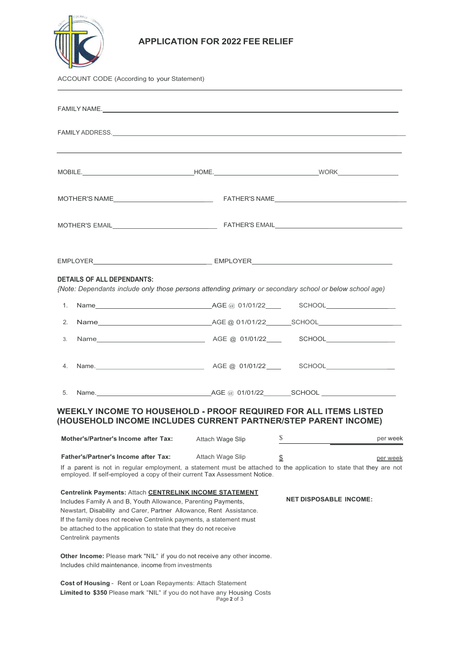

#### **APPLICATION FOR 2022 FEE RELIEF**

|                                                                                                                                                              | Y                                                                                                                                                                                                                              |                  |    |          |  |  |  |
|--------------------------------------------------------------------------------------------------------------------------------------------------------------|--------------------------------------------------------------------------------------------------------------------------------------------------------------------------------------------------------------------------------|------------------|----|----------|--|--|--|
| ACCOUNT CODE (According to your Statement)                                                                                                                   |                                                                                                                                                                                                                                |                  |    |          |  |  |  |
|                                                                                                                                                              | FAMILY NAME. The contract of the contract of the contract of the contract of the contract of the contract of the contract of the contract of the contract of the contract of the contract of the contract of the contract of t |                  |    |          |  |  |  |
|                                                                                                                                                              | FAMILY ADDRESS. The contract of the contract of the contract of the contract of the contract of the contract of the contract of the contract of the contract of the contract of the contract of the contract of the contract o |                  |    |          |  |  |  |
|                                                                                                                                                              |                                                                                                                                                                                                                                |                  |    |          |  |  |  |
|                                                                                                                                                              |                                                                                                                                                                                                                                |                  |    |          |  |  |  |
|                                                                                                                                                              |                                                                                                                                                                                                                                |                  |    |          |  |  |  |
|                                                                                                                                                              |                                                                                                                                                                                                                                |                  |    |          |  |  |  |
|                                                                                                                                                              | <b>DETAILS OF ALL DEPENDANTS:</b><br>{Note: Dependants include only those persons attending primary or secondary school or below school age)                                                                                   |                  |    |          |  |  |  |
| 1.                                                                                                                                                           |                                                                                                                                                                                                                                |                  |    |          |  |  |  |
| 2.                                                                                                                                                           | Name___________________________________AGE @_01/01/22________SCHOOL_____________________                                                                                                                                       |                  |    |          |  |  |  |
| 3.                                                                                                                                                           |                                                                                                                                                                                                                                |                  |    |          |  |  |  |
| 4.                                                                                                                                                           |                                                                                                                                                                                                                                |                  |    |          |  |  |  |
| 5.                                                                                                                                                           |                                                                                                                                                                                                                                |                  |    |          |  |  |  |
|                                                                                                                                                              | <b>WEEKLY INCOME TO HOUSEHOLD - PROOF REQUIRED FOR ALL ITEMS LISTED</b><br>(HOUSEHOLD INCOME INCLUDES CURRENT PARTNER/STEP PARENT INCOME)                                                                                      |                  |    |          |  |  |  |
|                                                                                                                                                              | Mother's/Partner's Income after Tax:                                                                                                                                                                                           | Attach Wage Slip | \$ | per week |  |  |  |
| Father's/Partner's Income after Tax:<br>If a parent is not in regular employment, a statement must be attached to the application to state that they are not |                                                                                                                                                                                                                                | Attach Wage Slip | \$ | per week |  |  |  |

If a parent is not in regular employment, a statement must be attached to the application to state that they are not employed. If self-employed a copy of their current Tax Assessment Notice.

## **Centrelink Payments:** Attach **CENTRELINK INCOME STATEMENT**

Includes Family A and B, Youth Allowance, Parenting Payments, Newstart, Disability and Carer, Partner Allowance, Rent Assistance. If the family does not receive Centrelink payments, a statement must be attached to the application to state that they do not receive Centrelink payments

**Other Income:** Please mark "NIL" if you do not receive any other income. Includes child maintenance, income from investments

Page **2** of 3 **Cost of Housing** - Rent or Loan Repayments: Attach Statement **Limited to \$350** Please mark "NIL" if you do not have any Housing Costs **NET DISPOSABLE INCOME:**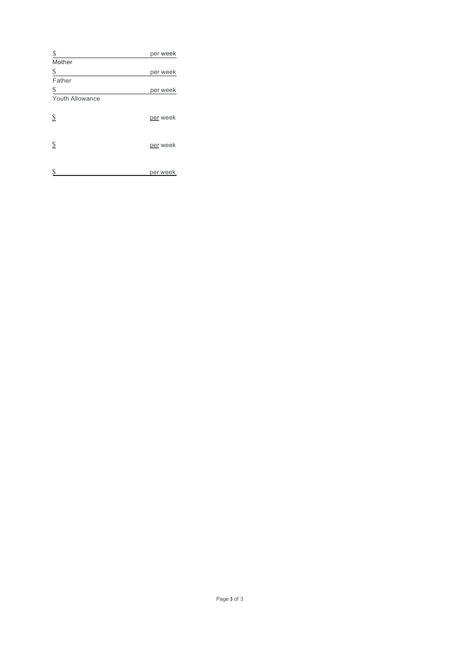| \$                                 | per week |
|------------------------------------|----------|
| Mother                             |          |
| \$                                 | per week |
| Father                             |          |
| \$                                 | per week |
| <b>Youth Allowance</b>             |          |
|                                    |          |
| $\mathbf{\underline{\mathcal{S}}}$ | per week |
|                                    |          |
|                                    |          |
| $\mathbf{\underline{\mathcal{S}}}$ | per week |
|                                    |          |
| S                                  |          |
|                                    | per week |